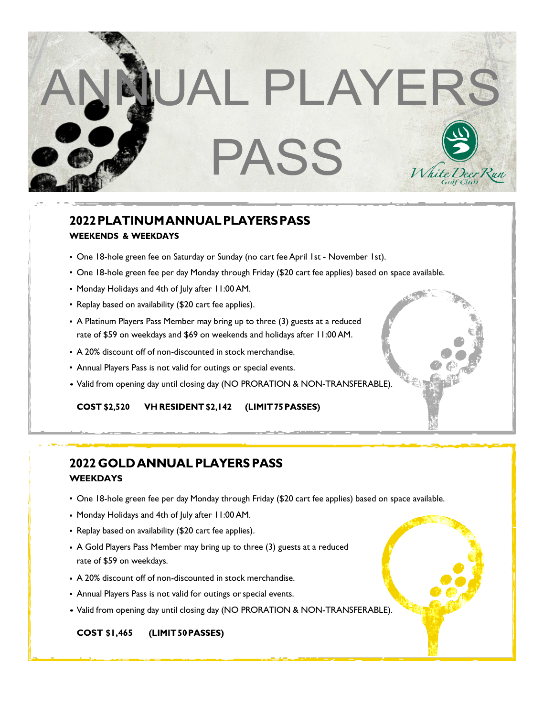

## 2022 PLATINUM ANNUAL PLAYERS PASS **WEEKENDS & WEEKDAYS**

- One 18-hole green fee on Saturday or Sunday (no cart fee April 1st November 1st).
- One 18-hole green fee per day Monday through Friday (\$20 cart fee applies) based on space available.
- Monday Holidays and 4th of July after 11:00AM.
- Replay based on availability (\$20 cart fee applies).
- A Platinum Players Pass Member may bring up to three (3) guests at a reduced rate of \$59 on weekdays and \$69 on weekends and holidays after 11:00AM.
- A 20% discount off of non-discounted in stock merchandise.
- Annual Players Pass is not valid for outings or special events.
- Valid from opening day until closing day (NO PRORATION & NON-TRANSFERABLE).

**COST \$2,520** VH RESIDENT \$2,142 (LIMIT 75 PASSES)

## **2022 GOLD ANNUAL PLAYERS PASS WEEKDAYS**

- One 18-hole green fee per day Monday through Friday (\$20 cart fee applies) based on space available.
- Monday Holidays and 4th of July after 11:00AM.
- Replay based on availability (\$20 cart fee applies).
- A Gold Players Pass Member may bring up to three (3) guests at a reduced rate of \$59 on weekdays.
- A 20% discount off of non-discounted in stock merchandise.
- Annual Players Pass is not valid for outings or special events.
- Valid from opening day until closing day (NO PRORATION & NON-TRANSFERABLE).

#### (LIMIT 50 PASSES) **COST \$1,465**